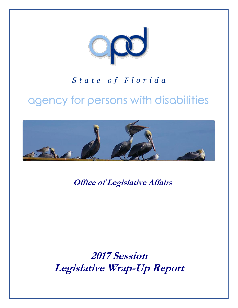

## State of Florida

# agency for persons with disabilities



**Office of Legislative Affairs**

**2017 Session Legislative Wrap-Up Report**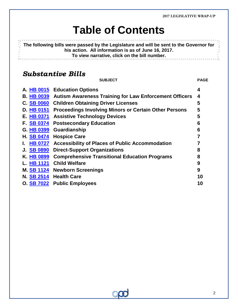# **Table of Contents**

不可以以不 **The following bills were passed by the Legislature and will be sent to the Governor for his action. All information is as of June 16, 2017. To view narrative, click on the bill number.**

*Substantive Bills*

Ř,

**SUBJECT PAGE**

<span id="page-1-0"></span>

|                   | A. HB 0015 Education Options                                  | 4  |
|-------------------|---------------------------------------------------------------|----|
| <b>B. HB 0039</b> | <b>Autism Awareness Training for Law Enforcement Officers</b> | 4  |
| C. SB 0060        | <b>Children Obtaining Driver Licenses</b>                     | 5  |
| D. HB 0151        | <b>Proceedings Involving Minors or Certain Other Persons</b>  | 5  |
| E. HB 0371        | <b>Assistive Technology Devices</b>                           | 5  |
| F. SB 0374        | <b>Postsecondary Education</b>                                | 6  |
| G. HB 0399        | Guardianship                                                  | 6  |
| <b>H. SB 0474</b> | <b>Hospice Care</b>                                           | 7  |
| I. HB 0727        | <b>Accessibility of Places of Public Accommodation</b>        |    |
| J. SB 0890        | <b>Direct-Support Organizations</b>                           | 8  |
| K. HB 0899        | <b>Comprehensive Transitional Education Programs</b>          | 8  |
| L. HB 1121        | <b>Child Welfare</b>                                          | 9  |
| M. SB 1124        | <b>Newborn Screenings</b>                                     | 9  |
| N. SB 2514        | <b>Health Care</b>                                            | 10 |
|                   | O. SB 7022 Public Employees                                   | 10 |

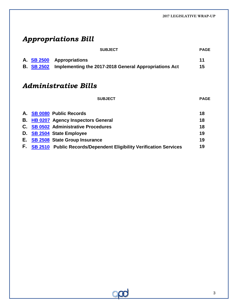## *Appropriations Bill*

|    |                                    | <b>SUBJECT</b>                                                                 | <b>PAGE</b> |  |  |  |  |
|----|------------------------------------|--------------------------------------------------------------------------------|-------------|--|--|--|--|
|    | A. SB 2500<br><b>B.</b> SB 2502    | <b>Appropriations</b><br>Implementing the 2017-2018 General Appropriations Act | 11<br>15    |  |  |  |  |
|    | <i><b>Administrative Bills</b></i> |                                                                                |             |  |  |  |  |
|    |                                    | <b>SUBJECT</b>                                                                 | <b>PAGE</b> |  |  |  |  |
|    |                                    | A. SB 0080 Public Records                                                      | 18          |  |  |  |  |
| В. |                                    | <b>HB 0207 Agency Inspectors General</b>                                       | 18          |  |  |  |  |
| C. |                                    | <b>SB 0502 Administrative Procedures</b>                                       | 18          |  |  |  |  |
| D. |                                    | <b>SB 2504 State Employee</b>                                                  | 19          |  |  |  |  |
| Е. |                                    | <b>SB 2508</b> State Group Insurance                                           | 19          |  |  |  |  |
| F. |                                    | SB 2510 Public Records/Dependent Eligibility Verification Services             | 19          |  |  |  |  |

 $\infty$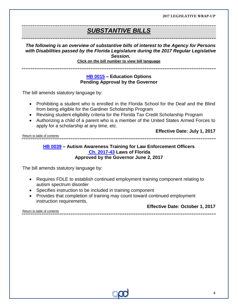.<br>The concedit concedit concedit concedit concedit concedit concedit concedit concedit concedit concedit concedit

### *SUBSTANTIVE BILLS*

*The following is an overview of substantive bills of interest to the Agency for Persons with Disabilities passed by the Florida Legislature during the 2017 Regular Legislative Session.*

**Click on the bill number to view bill language** 

#### **[HB 0015](http://www.myfloridahouse.gov/Sections/Documents/loaddoc.aspx?FileName=_h0015er.docx&DocumentType=Bill&BillNumber=0015&Session=2017) – Education Options Pending Approval by the Governor**

<span id="page-3-0"></span>The bill amends statutory language by:

- Prohibiting a student who is enrolled in the Florida School for the Deaf and the Blind from being eligible for the Gardiner Scholarship Program
- Revising student eligibility criteria for the Florida Tax Credit Scholarship Program
- Authorizing a child of a parent who is a member of the United States Armed Forces to apply for a scholarship at any time, etc.

**Effective Date: July 1, 2017**

[Return to table of contents](#page-1-0)

#### <span id="page-3-1"></span>**[HB 0039](http://www.myfloridahouse.gov/Sections/Documents/loaddoc.aspx?FileName=_h0039er.docx&DocumentType=Bill&BillNumber=0039&Session=2017) – Autism Awareness Training for Law Enforcement Officers [Ch. 2017-43](http://laws.flrules.org/2017/43) Laws of Florida Approved by the Governor June 2, 2017**

The bill amends statutory language by:

- Requires FDLE to establish continued employment training component relating to autism spectrum disorder
- Specifies instruction to be included in training component
- Provides that completion of training may count toward continued employment instruction requirements.

**Effective Date: October 1, 2017**

[Return to table of contents](#page-1-0)

4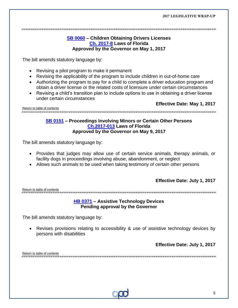#### <span id="page-4-0"></span>**[SB 0060](http://www.flsenate.gov/Session/Bill/2017/60/BillText/er/PDF) – Children Obtaining Drivers Licenses [Ch. 2017-8](http://laws.flrules.org/2017/8) Laws of Florida Approved by the Governor on May 1, 2017**

The bill amends statutory language by:

- Revising a pilot program to make it permanent
- Revising the applicability of the program to include children in out-of-home care
- Authorizing the program to pay for a child to complete a driver education program and obtain a driver license or the related costs of licensure under certain circumstances
- Revising a child's transition plan to include options to use in obtaining a driver license under certain circumstances

[Return to table of contents](#page-1-0)

**Effective Date: May 1, 2017**

#### <span id="page-4-1"></span>**[SB 0151](http://www.myfloridahouse.gov/Sections/Documents/loaddoc.aspx?FileName=_h0151er.docx&DocumentType=Bill&BillNumber=0151&Session=2017) – Proceedings Involving Minors or Certain Other Persons [Ch.2017-013](http://laws.flrules.org/2017/13) Laws of Florida Approved by the Governor on May 9, 2017**

The bill amends statutory language by:

- Provides that judges may allow use of certain service animals, therapy animals, or facility dogs in proceedings involving abuse, abandonment, or neglect
- Allows such animals to be used when taking testimony of certain other persons

#### **Effective Date: July 1, 2017**

. הוא הודעות המונים הודעות הודעות הודעות הודעות הודעות הודעות הודעות הודעות הודעות הודעות הודעות הודעות הודעות הודעות הודעות הודעות

[Return to table of contents](#page-1-0)

#### <span id="page-4-2"></span>**[HB 0371](http://www.myfloridahouse.gov/Sections/Documents/loaddoc.aspx?FileName=_h0371er.docx&DocumentType=Bill&BillNumber=0371&Session=2017) – Assistive Technology Devices Pending approval by the Governor**

The bill amends statutory language by:

 Revises provisions relating to accessibility & use of assistive technology devices by persons with disabilities

**Effective Date: July 1, 2017**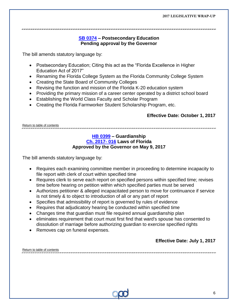**[SB 0374](http://www.myfloridahouse.gov/Sections/Documents/loaddoc.aspx?FileName=_s0374er.DOCX&DocumentType=Bill&BillNumber=0374&Session=2017) – Postsecondary Education** 

#### <span id="page-5-0"></span>**Pending approval by the Governor**

The bill amends statutory language by:

- Postsecondary Education; Citing this act as the "Florida Excellence in Higher Education Act of 2017"
- Renaming the Florida College System as the Florida Community College System
- Creating the State Board of Community Colleges
- Revising the function and mission of the Florida K-20 education system
- Providing the primary mission of a career center operated by a district school board
- Establishing the World Class Faculty and Scholar Program
- Creating the Florida Farmworker Student Scholarship Program, etc.

#### <span id="page-5-1"></span>**Effective Date: October 1, 2017**

[Return to table of contents](#page-1-0)

#### **[HB 0399](http://www.myfloridahouse.gov/Sections/Documents/loaddoc.aspx?FileName=_h0399er.docx&DocumentType=Bill&BillNumber=0399&Session=2017) – Guardianship [Ch. 2017-](http://laws.flrules.org/2017/16) 016 Laws of Florida Approved by the Governor on May 9, 2017**

The bill amends statutory language by:

- Requires each examining committee member in proceeding to determine incapacity to file report with clerk of court within specified time
- Requires clerk to serve each report on specified persons within specified time; revises time before hearing on petition within which specified parties must be served
- Authorizes petitioner & alleged incapacitated person to move for continuance if service is not timely & to object to introduction of all or any part of report
- Specifies that admissibility of report is governed by rules of evidence
- Requires that adjudicatory hearing be conducted within specified time
- Changes time that guardian must file required annual guardianship plan
- eliminates requirement that court must first find that ward's spouse has consented to dissolution of marriage before authorizing guardian to exercise specified rights
- Removes cap on funeral expenses.

#### **Effective Date: July 1, 2017**

| Return to table of contents |  |
|-----------------------------|--|
|                             |  |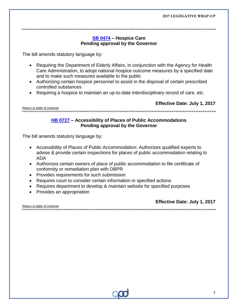<span id="page-6-0"></span>an an air an an air an an an air an air an air an air an air an air an air an air an air an air an an an an an an air

#### **[SB 0474](http://www.myfloridahouse.gov/Sections/Documents/loaddoc.aspx?FileName=_s0474er.DOCX&DocumentType=Bill&BillNumber=0474&Session=2017) – Hospice Care Pending approval by the Governor**

The bill amends statutory language by:

- Requiring the Department of Elderly Affairs, in conjunction with the Agency for Health Care Administration, to adopt national hospice outcome measures by a specified date and to make such measures available to the public
- Authorizing certain hospice personnel to assist in the disposal of certain prescribed controlled substances
- Requiring a hospice to maintain an up-to-date interdisciplinary record of care, etc.

[Return to table of contents](#page-1-0)

**Effective Date: July 1, 2017**

### 

#### <span id="page-6-1"></span>**[HB 0727](http://www.myfloridahouse.gov/Sections/Documents/loaddoc.aspx?FileName=_h0727er.docx&DocumentType=Bill&BillNumber=0727&Session=2017) – Accessibility of Places of Public Accommodations Pending approval by the Governor**

The bill amends statutory language by:

- Accessibility of Places of Public Accommodation: Authorizes qualified experts to advise & provide certain inspections for places of public accommodation relating to ADA
- Authorizes certain owners of place of public accommodation to file certificate of conformity or remediation plan with DBPR
- Provides requirements for such submission
- Requires court to consider certain information in specified actions
- Requires department to develop & maintain website for specified purposes
- Provides an appropriation

**Effective Date: July 1, 2017**

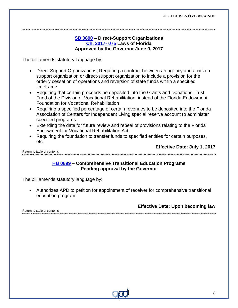#### <span id="page-7-0"></span>**[SB 0890](http://www.myfloridahouse.gov/Sections/Documents/loaddoc.aspx?FileName=_s0890er.DOCX&DocumentType=Bill&BillNumber=0890&Session=2017) – Direct-Support Organizations [Ch. 2017-](http://laws.flrules.org/2017/75) 075 Laws of Florida Approved by the Governor June 9, 2017**

The bill amends statutory language by:

- Direct-Support Organizations; Requiring a contract between an agency and a citizen support organization or direct-support organization to include a provision for the orderly cessation of operations and reversion of state funds within a specified timeframe
- Requiring that certain proceeds be deposited into the Grants and Donations Trust Fund of the Division of Vocational Rehabilitation, instead of the Florida Endowment Foundation for Vocational Rehabilitation
- Requiring a specified percentage of certain revenues to be deposited into the Florida Association of Centers for Independent Living special reserve account to administer specified programs
- Extending the date for future review and repeal of provisions relating to the Florida Endowment for Vocational Rehabilitation Act
- Requiring the foundation to transfer funds to specified entities for certain purposes, etc.

**Effective Date: July 1, 2017**

[Return to table of contents](#page-1-0)

#### <span id="page-7-1"></span>**[HB 0899](http://www.myfloridahouse.gov/Sections/Documents/loaddoc.aspx?FileName=_h0899er.docx&DocumentType=Bill&BillNumber=0899&Session=2017) – Comprehensive Transitional Education Programs Pending approval by the Governor**

The bill amends statutory language by:

 Authorizes APD to petition for appointment of receiver for comprehensive transitional education program

**Effective Date: Upon becoming law** 

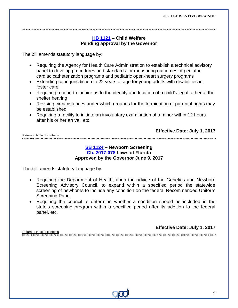#### <span id="page-8-0"></span>**[HB 1121](http://www.myfloridahouse.gov/Sections/Documents/loaddoc.aspx?FileName=_h1121er.docx&DocumentType=Bill&BillNumber=1121&Session=2017) – Child Welfare Pending approval by the Governor**

The bill amends statutory language by:

- Requiring the Agency for Health Care Administration to establish a technical advisory panel to develop procedures and standards for measuring outcomes of pediatric cardiac catheterization programs and pediatric open-heart surgery programs
- Extending court jurisdiction to 22 years of age for young adults with disabilities in foster care
- Requiring a court to inquire as to the identity and location of a child's legal father at the shelter hearing
- Revising circumstances under which grounds for the termination of parental rights may be established
- Requiring a facility to initiate an involuntary examination of a minor within 12 hours after his or her arrival, etc.

[Return to table of contents](#page-1-0) 

### <span id="page-8-1"></span>**[SB 1124](http://www.myfloridahouse.gov/Sections/Documents/loaddoc.aspx?FileName=_s1124er.DOCX&DocumentType=Bill&BillNumber=1124&Session=2017) – Newborn Screening [Ch. 2017-078](http://laws.flrules.org/2017/78) Laws of Florida**

#### **Approved by the Governor June 9, 2017**

The bill amends statutory language by:

- Requiring the Department of Health, upon the advice of the Genetics and Newborn Screening Advisory Council, to expand within a specified period the statewide screening of newborns to include any condition on the federal Recommended Uniform Screening Panel
- Requiring the council to determine whether a condition should be included in the state's screening program within a specified period after its addition to the federal panel, etc.

**Effective Date: July 1, 2017**

**Effective Date: July 1, 2017**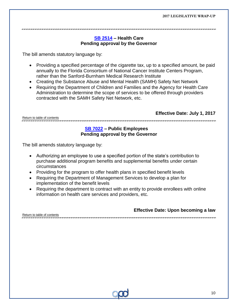<span id="page-9-0"></span>

#### **[SB 2514](http://www.myfloridahouse.gov/Sections/Documents/loaddoc.aspx?FileName=_s2514er.DOCX&DocumentType=Bill&BillNumber=2514&Session=2017) – Health Care Pending approval by the Governor**

The bill amends statutory language by:

- Providing a specified percentage of the cigarette tax, up to a specified amount, be paid annually to the Florida Consortium of National Cancer Institute Centers Program, rather than the Sanford-Burnham Medical Research Institute
- Creating the Substance Abuse and Mental Health (SAMH) Safety Net Network
- Requiring the Department of Children and Families and the Agency for Health Care Administration to determine the scope of services to be offered through providers contracted with the SAMH Safety Net Network, etc.

**Effective Date: July 1, 2017**

[Return to table of contents](#page-1-0)

#### <span id="page-9-1"></span> **[SB 7022](http://www.myfloridahouse.gov/Sections/Documents/loaddoc.aspx?FileName=_s7022er.DOCX&DocumentType=Bill&BillNumber=7022&Session=2017) – Public Employees Pending approval by the Governor**

The bill amends statutory language by:

- Authorizing an employee to use a specified portion of the state's contribution to purchase additional program benefits and supplemental benefits under certain circumstances
- Providing for the program to offer health plans in specified benefit levels
- Requiring the Department of Management Services to develop a plan for implementation of the benefit levels
- Requiring the department to contract with an entity to provide enrollees with online information on health care services and providers, etc.

**Effective Date: Upon becoming a law**

[Return to table of contents](#page-1-0)

10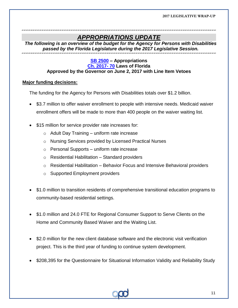### <span id="page-10-0"></span>*APPROPRIATIONS UPDATE*

*The following is an overview of the budget for the Agency for Persons with Disabilities passed by the Florida Legislature during the 2017 Legislative Session.*

#### **[SB 2500](http://www.myfloridahouse.gov/Sections/Documents/loaddoc.aspx?FileName=_s2500er.DOCX&DocumentType=Bill&BillNumber=2500&Session=2017) – Appropriations [Ch. 2017-](http://laws.flrules.org/files/Ch_2017-070.pdf) 70 Laws of Florida Approved by the Governor on June 2, 2017 with Line Item Vetoes**

#### **Major funding decisions:**

The funding for the Agency for Persons with Disabilities totals over \$1.2 billion.

- \$3.7 million to offer waiver enrollment to people with intensive needs. Medicaid waiver enrollment offers will be made to more than 400 people on the waiver waiting list.
- \$15 million for service provider rate increases for:
	- $\circ$  Adult Day Training uniform rate increase
	- o Nursing Services provided by Licensed Practical Nurses
	- $\circ$  Personal Supports uniform rate increase
	- o Residential Habilitation Standard providers
	- $\circ$  Residential Habilitation Behavior Focus and Intensive Behavioral providers
	- o Supported Employment providers
- \$1.0 million to transition residents of comprehensive transitional education programs to community-based residential settings.
- \$1.0 million and 24.0 FTE for Regional Consumer Support to Serve Clients on the Home and Community Based Waiver and the Waiting List.
- \$2.0 million for the new client database software and the electronic visit verification project. This is the third year of funding to continue system development.
- \$208,395 for the Questionnaire for Situational Information Validity and Reliability Study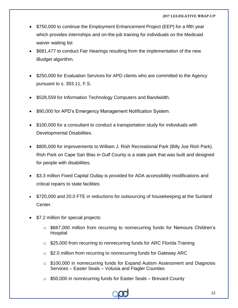- \$750,000 to continue the Employment Enhancement Project (EEP) for a fifth year which provides internships and on-the-job training for individuals on the Medicaid waiver waiting list
- \$681,477 to conduct Fair Hearings resulting from the implementation of the new iBudget algorithm.
- \$250,000 for Evaluation Services for APD clients who are committed to the Agency pursuant to s. 393.11, F.S.
- \$528,559 for Information Technology Computers and Bandwidth.
- \$90,000 for APD's Emergency Management Notification System.
- \$100,000 for a consultant to conduct a transportation study for individuals with Developmental Disabilities.
- \$805,000 for improvements to William J. Rish Recreational Park (Billy Joe Rish Park). Rish Park on Cape San Blas in Gulf County is a state park that was built and designed for people with disabilities.
- \$3.3 million Fixed Capital Outlay is provided for ADA accessibility modifications and critical repairs to state facilities
- \$720,000 and 20.0 FTE in reductions for outsourcing of housekeeping at the Sunland Center.
- \$7.2 million for special projects:
	- o \$667,000 million from recurring to nonrecurring funds for Nemours Children's Hospital
	- \$25,000 from recurring to nonrecurring funds for ARC Florida Training
	- o \$2.0 million from recurring to nonrecurring funds for Gateway ARC
	- o \$100,000 in nonrecurring funds for Expand Autism Assessment and Diagnosis Services – Easter Seals – Volusia and Flagler Counties
	- $\circ$  \$50,000 in nonrecurring funds for Easter Seals Brevard County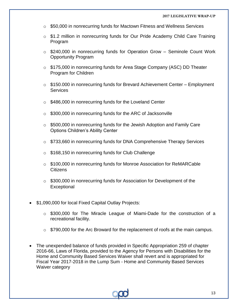- $\circ$  \$50,000 in nonrecurring funds for Mactown Fitness and Wellness Services
- o \$1.2 million in nonrecurring funds for Our Pride Academy Child Care Training Program
- o \$240,000 in nonrecurring funds for Operation Grow Seminole Count Work Opportunity Program
- o \$175,000 in nonrecurring funds for Area Stage Company (ASC) DD Theater Program for Children
- $\circ$  \$150.000 in nonrecurring funds for Brevard Achievement Center Employment **Services**
- o \$486,000 in nonrecurring funds for the Loveland Center
- o \$300,000 in nonrecurring funds for the ARC of Jacksonville
- $\circ$  \$500,000 in nonrecurring funds for the Jewish Adoption and Family Care Options Children's Ability Center
- o \$733,660 in nonrecurring funds for DNA Comprehensive Therapy Services
- o \$168,150 in nonrecurring funds for Club Challenge
- $\circ$  \$100,000 in nonrecurring funds for Monroe Association for ReMARCable **Citizens**
- $\circ$  \$300,000 in nonrecurring funds for Association for Development of the **Exceptional**
- \$1,090,000 for local Fixed Capital Outlay Projects:
	- o \$300,000 for The Miracle League of Miami-Dade for the construction of a recreational facility.
	- $\circ$  \$790,000 for the Arc Broward for the replacement of roofs at the main campus.
- The unexpended balance of funds provided in Specific Appropriation 259 of chapter 2016-66, Laws of Florida, provided to the Agency for Persons with Disabilities for the Home and Community Based Services Waiver shall revert and is appropriated for Fiscal Year 2017-2018 in the Lump Sum - Home and Community Based Services Waiver category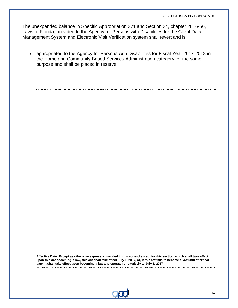The unexpended balance in Specific Appropriation 271 and Section 34, chapter 2016-66, Laws of Florida, provided to the Agency for Persons with Disabilities for the Client Data Management System and Electronic Visit Verification system shall revert and is

 appropriated to the Agency for Persons with Disabilities for Fiscal Year 2017-2018 in the Home and Community Based Services Administration category for the same purpose and shall be placed in reserve.

**Effective Date: Except as otherwise expressly provided in this act and except for this section, which shall take effect upon this act becoming a law, this act shall take effect July 1, 2017, or, if this act fails to become a law until after that date, it shall take effect upon becoming a law and operate retroactively to July 1, 2017**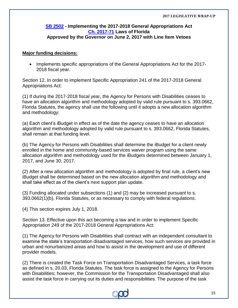#### <span id="page-14-0"></span>**[SB 2502](http://www.flsenate.gov/Session/Bill/2017/2502/BillText/er/PDF) - Implementing the 2017-2018 General Appropriations Act [Ch. 2017-71](http://laws.flrules.org/2017/71) Laws of Florida Approved by the Governor on June 2, 2017 with Line Item Vetoes**

#### **Major funding decisions:**

• Implements specific appropriations of the General Appropriations Act for the 2017-2018 fiscal year.

Section 12. In order to implement Specific Appropriation 241 of the 2017-2018 General Appropriations Act:

(1) If during the 2017-2018 fiscal year, the Agency for Persons with Disabilities ceases to have an allocation algorithm and methodology adopted by valid rule pursuant to s. 393.0662, Florida Statutes, the agency shall use the following until it adopts a new allocation algorithm and methodology:

(a) Each client's iBudget in effect as of the date the agency ceases to have an allocation algorithm and methodology adopted by valid rule pursuant to s. 393.0662, Florida Statutes, shall remain at that funding level.

(b) The Agency for Persons with Disabilities shall determine the iBudget for a client newly enrolled in the home and community-based services waiver program using the same allocation algorithm and methodology used for the iBudgets determined between January 1, 2017, and June 30, 2017.

(2) After a new allocation algorithm and methodology is adopted by final rule, a client's new iBudget shall be determined based on the new allocation algorithm and methodology and shall take effect as of the client's next support plan update.

(3) Funding allocated under subsections (1) and (2) may be increased pursuant to s. 393.0662(1)(b), Florida Statutes, or as necessary to comply with federal regulations.

(4) This section expires July 1, 2018.

Section 13. Effective upon this act becoming a law and in order to implement Specific Appropriation 249 of the 2017-2018 General Appropriations Act:

(1) The Agency for Persons with Disabilities shall contract with an independent consultant to examine the state's transportation disadvantaged services, how such services are provided in urban and nonurbanized areas and how to assist in the development and use of different provider models.

(2) There is created the Task Force on Transportation Disadvantaged Services, a task force as defined in s. 20.03, Florida Statutes. The task force is assigned to the Agency for Persons with Disabilities; however, the Commission for the Transportation Disadvantaged shall also assist the task force in carrying out its duties and responsibilities. The purpose of the task

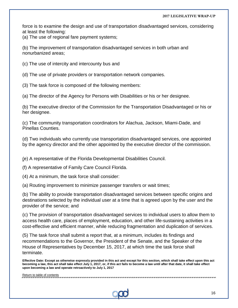force is to examine the design and use of transportation disadvantaged services, considering at least the following:

(a) The use of regional fare payment systems;

(b) The improvement of transportation disadvantaged services in both urban and nonurbanized areas;

(c) The use of intercity and intercounty bus and

(d) The use of private providers or transportation network companies.

(3) The task force is composed of the following members:

(a) The director of the Agency for Persons with Disabilities or his or her designee.

(b) The executive director of the Commission for the Transportation Disadvantaged or his or her designee.

(c) The community transportation coordinators for Alachua, Jackson, Miami-Dade, and Pinellas Counties.

(d) Two individuals who currently use transportation disadvantaged services, one appointed by the agency director and the other appointed by the executive director of the commission.

(e) A representative of the Florida Developmental Disabilities Council.

(f) A representative of Family Care Council Florida.

(4) At a minimum, the task force shall consider:

(a) Routing improvement to minimize passenger transfers or wait times;

(b) The ability to provide transportation disadvantaged services between specific origins and destinations selected by the individual user at a time that is agreed upon by the user and the provider of the service; and

(c) The provision of transportation disadvantaged services to individual users to allow them to access health care, places of employment, education, and other life-sustaining activities in a cost-effective and efficient manner, while reducing fragmentation and duplication of services.

(5) The task force shall submit a report that, at a minimum, includes its findings and recommendations to the Governor, the President of the Senate, and the Speaker of the House of Representatives by December 15, 2017, at which time the task force shall terminate.

**Effective Date: Except as otherwise expressly provided in this act and except for this section, which shall take effect upon this act becoming a law, this act shall take effect July 1, 2017, or, if this act fails to become a law until after that date, it shall take effect upon becoming a law and operate retroactively to July 1, 2017**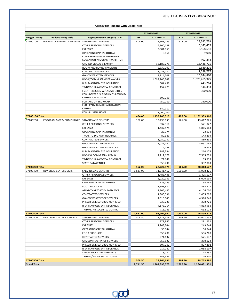|                      |                            | <b>Agency for Persons with Disabilities</b>              |            |                      |            |                    |
|----------------------|----------------------------|----------------------------------------------------------|------------|----------------------|------------|--------------------|
|                      |                            |                                                          |            |                      |            |                    |
|                      |                            |                                                          |            | FY 2016-2017         |            | FY 2017-2018       |
| <b>Budget_Entity</b> | <b>Budget Entity Title</b> | <b>Appropriation Category Title</b>                      | <b>FTE</b> | <b>ALL FUNDS</b>     | <b>FTE</b> | <b>ALL FUNDS</b>   |
| 67100100             | HOME & COMMUNITY SERVICES  | SALARIES AND BENEFITS                                    | 404.00     | 22,368,253           | 428.00     | 23,532,729         |
|                      |                            | OTHER PERSONAL SERVICES                                  |            | 5,100,189            |            | 5,143,455          |
|                      |                            | <b>EXPENSES</b>                                          |            | 3,001,069            |            | 3,168,681          |
|                      |                            | OPERATING CAPITAL OUTLAY<br>COMPREHENSIVE TRANSITIONAL   |            | 9,060                |            | 9,060              |
|                      |                            | EDUCATION PROGRAM TRANSITION                             |            |                      |            | 992,384            |
|                      |                            | G/A-INDIVIDUAL & FAMILY                                  |            | 13,186,771           |            | 13,436,771         |
|                      |                            | ROOM AND BOARD PAYMENTS                                  |            | 2,839,201            |            | 2,639,201          |
|                      |                            | <b>CONTRACTED SERVICES</b>                               |            | 1,038,727            |            | 1,288,727          |
|                      |                            | <b>G/A-CONTRACTED SERVICES</b>                           |            | 9,914,209            |            | 10,244,810         |
|                      |                            | HOME/COMM SERVICES WAIVER                                |            | 1,097,206,747        |            | 1,070,265,975      |
|                      |                            | RISK MANAGEMENT INSURANCE                                |            | 384,498              |            | 443,214            |
|                      |                            | TR/DMS/HR SVCS/STW CONTRACT                              |            | 157,475              |            | 144,353            |
|                      |                            | FCO-PERSONS W/DISABILITIES                               |            |                      |            | 300,000            |
|                      |                            | FCO - DEVEREUX FLORIDA THRESHOLD                         |            |                      |            |                    |
|                      |                            | <b>CENTER FOR AUTISM</b>                                 |            | 500,000              |            |                    |
|                      |                            | FCO - ARC OF BROWARD                                     |            | 750,000              |            | 790,000            |
|                      |                            | FCO - PALM BEACH HABILITATION<br><b>CENTER</b>           |            |                      |            |                    |
|                      |                            | FCO - RUSSELL HOME                                       |            | 649,111<br>1,000,000 |            |                    |
| 67100100 Total       |                            |                                                          | 404.00     | 1,158,105,310        | 428.00     | 1,132,399,360      |
| 67100200             | PROGRAM MGT & COMPLIANCE   | SALARIES AND BENEFITS                                    | 162.00     | 13,499,639           | 161.00     | 13,617,825         |
|                      |                            | OTHER PERSONAL SERVICES                                  |            | 537,910              |            | 571,022            |
|                      |                            | <b>EXPENSES</b>                                          |            | 1,437,474            |            | 1,865,083          |
|                      |                            | OPERATING CAPITAL OUTLAY                                 |            | 23,974               |            | 23,974             |
|                      |                            | TRANS TO DIV ADM HEARINGS                                |            | 80,683               |            | 143,294            |
|                      |                            | CONTRACTED SERVICES                                      |            | 1,289,231            |            | 889,231            |
|                      |                            | G/A-CONTRACTED SERVICES                                  |            | 3,031,167            |            | 3,031,167          |
|                      |                            | G/A-CONTRACT PROF SERVICES                               |            | 6,248                |            | 6,248              |
|                      |                            | RISK MANAGEMENT INSURANCE                                |            | 182,334              |            | 210,178            |
|                      |                            | HOME & COMM SERV ADMIN                                   |            | 7,212,679            |            | 7,565,039          |
|                      |                            | TR/DMS/HR SVCS/STW CONTRACT                              |            | 71,146               |            | 63,533             |
|                      |                            | <b>STATE DATA CENTER</b>                                 |            | 350,490              |            | 332,083            |
| 67100200 Total       |                            |                                                          | 162.00     | 27,722,975           | 161.00     | 28,318,677         |
| 67100400             | DEV DISAB CENTERS CIVIL    | SALARIES AND BENEFITS                                    | 1,637.00   | 71,641,462           | 1,609.00   | 71,908,426         |
|                      |                            | OTHER PERSONAL SERVICES                                  |            | 1,488,448            |            | 1,495,517          |
|                      |                            | <b>EXPENSES</b>                                          |            | 5,020,139            |            | 5,020,139          |
|                      |                            | OPERATING CAPITAL OUTLAY                                 |            | 123,123              |            | 64,965             |
|                      |                            | <b>FOOD PRODUCTS</b>                                     |            | 1,898,927            |            | 1,898,927          |
|                      |                            | APD/FCO NEEDS/CEN MGD FACS                               |            | 2,805,485            |            | 4,106,000          |
|                      |                            | <b>CONTRACTED SERVICES</b>                               |            | 1,380,096            |            | 2,005,096          |
|                      |                            | G/A-CONTRACT PROF SERVICES                               |            | 4,316,049            |            | 4,316,049          |
|                      |                            | PRESCRIBE MED/DRUG NON-MED                               |            | 338,721              |            | 338,721            |
|                      |                            | RISK MANAGEMENT INSURANCE                                |            | 4,176,214            |            | 4,813,958          |
|                      |                            | TR/DMS/HR SVCS/STW CONTRCT                               |            | 713,933              |            | 632,024            |
| 67100400 Total       |                            |                                                          | 1,637.00   | 93,902,597           | 1,609.00   | 96,599,822         |
| 67100500             | DEV DISAB CENTERS FORENSIC | SALARIES AND BENEFITS                                    | 508.50     | 23,273,579           | 504.50     | 23,647,652         |
|                      |                            | OTHER PERSONAL SERVICES                                  |            | 279,845              |            | 281,232            |
|                      |                            | <b>EXPENSES</b>                                          |            | 1,249,744            |            | 1,249,744          |
|                      |                            | OPERATING CAPITAL OUTLAY                                 |            | 96,844               |            | 96,844             |
|                      |                            | <b>FOOD PRODUCTS</b><br><b>CONTRACTED SERVICES</b>       |            | 556,200              |            | 556,200            |
|                      |                            |                                                          |            | 571,137              |            | 571,137<br>350,122 |
|                      |                            | G/A-CONTRACT PROF SERVICES<br>PRESCRIBE MED/DRUG NON-MED |            | 350,122<br>807,202   |            | 807,202            |
|                      |                            | RISK MANAGEMENT INSURANCE                                |            | 917,931              |            | 1,058,107          |
|                      |                            | SALARY INCENTIVE PAYMENTS                                |            | 18,751               |            | 18,751             |
|                      |                            | TR/DMS/HR SVCS/STW CONTRCT                               |            | 143,336              |            | 126,501            |
| 67100500 Total       |                            |                                                          | 508.50     | 28,264,691           | 504.50     | 28,763,492         |
| <b>Grand Total</b>   |                            |                                                          | 2,711.50   | 1,307,995,573        | 2,702.50   | 1,286,081,351      |

 $\infty$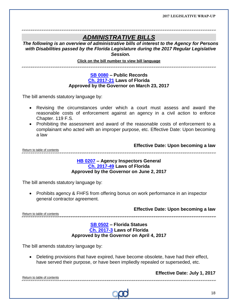### *ADMINISTRATIVE BILLS*

*The following is an overview of administrative bills of interest to the Agency for Persons with Disabilities passed by the Florida Legislature during the 2017 Regular Legislative Session.*

<span id="page-17-0"></span>**Click on the bill number to view bill language** 

#### **[SB 0080](http://www.myfloridahouse.gov/Sections/Documents/loaddoc.aspx?FileName=_s0080er.DOCX&DocumentType=Bill&BillNumber=0080&Session=2017) – Public Records [Ch. 2017-21](http://laws.flrules.org/2017/21) Laws of Florida Approved by the Governor on March 23, 2017**

The bill amends statutory language by:

- Revising the circumstances under which a court must assess and award the reasonable costs of enforcement against an agency in a civil action to enforce Chapter. 119 F.S.
- Prohibiting the assessment and award of the reasonable costs of enforcement to a complainant who acted with an improper purpose, etc. Effective Date: Upon becoming a law

[Return to table of contents](#page-1-0)

**Effective Date: Upon becoming a law**

#### <span id="page-17-1"></span>**[HB 0207](http://www.myfloridahouse.gov/Sections/Documents/loaddoc.aspx?FileName=_h0207er.docx&DocumentType=Bill&BillNumber=0207&Session=2017) – Agency Inspectors General [Ch. 2017-49](http://laws.flrules.org/2017/49) Laws of Florida Approved by the Governor on June 2, 2017**

The bill amends statutory language by:

• Prohibits agency & FHFS from offering bonus on work performance in an inspector general contractor agreement.

**Effective Date: Upon becoming a law**

[Return to table of contents](#page-1-0)

#### **[SB 0502](http://www.myfloridahouse.gov/Sections/Documents/loaddoc.aspx?FileName=_s0502er.DOCX&DocumentType=Bill&BillNumber=0502&Session=2017) – Florida Statues Ch. [2017-3](http://laws.flrules.org/2017/3) Laws of Florida Approved by the Governor on April 4, 2017**

<span id="page-17-2"></span>.<br>Thus thus that the theory and the comparison that the comparison theory theory theory theory theory theory the

The bill amends statutory language by:

 Deleting provisions that have expired, have become obsolete, have had their effect, have served their purpose, or have been impliedly repealed or superseded, etc.

**Effective Date: July 1, 2017**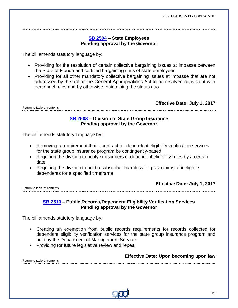<span id="page-18-0"></span>

#### **[SB 2504](http://www.myfloridahouse.gov/Sections/Documents/loaddoc.aspx?FileName=_s2504er.DOCX&DocumentType=Bill&BillNumber=2504&Session=2017) – State Employees Pending approval by the Governor**

The bill amends statutory language by:

- Providing for the resolution of certain collective bargaining issues at impasse between the State of Florida and certified bargaining units of state employees
- Providing for all other mandatory collective bargaining issues at impasse that are not addressed by the act or the General Appropriations Act to be resolved consistent with personnel rules and by otherwise maintaining the status quo

[Return to table of contents](#page-1-0)

**Effective Date: July 1, 2017**

#### 

#### <span id="page-18-1"></span>**[SB 2508](http://www.myfloridahouse.gov/Sections/Documents/loaddoc.aspx?FileName=_s2508er.DOCX&DocumentType=Bill&BillNumber=2508&Session=2017) – Division of State Group Insurance Pending approval by the Governor**

The bill amends statutory language by:

- Removing a requirement that a contract for dependent eligibility verification services for the state group insurance program be contingency-based
- Requiring the division to notify subscribers of dependent eligibility rules by a certain date
- Requiring the division to hold a subscriber harmless for past claims of ineligible dependents for a specified timeframe

[Return to table of contents](#page-1-0)

**Effective Date: July 1, 2017**

#### <span id="page-18-2"></span>**[SB 2510](http://www.myfloridahouse.gov/Sections/Documents/loaddoc.aspx?FileName=_s2510er.DOCX&DocumentType=Bill&BillNumber=2510&Session=2017) – Public Records/Dependent Eligibility Verification Services Pending approval by the Governor**

The bill amends statutory language by:

- Creating an exemption from public records requirements for records collected for dependent eligibility verification services for the state group insurance program and held by the Department of Management Services
- Providing for future legislative review and repeal

**Effective Date: Upon becoming upon law**